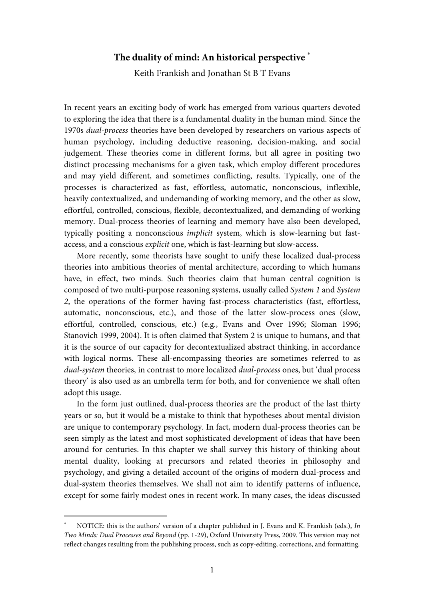# **The duality of mind: An historical perspective** <sup>∗</sup>

Keith Frankish and Jonathan St B T Evans

In recent years an exciting body of work has emerged from various quarters devoted to exploring the idea that there is a fundamental duality in the human mind. Since the 1970s dual-process theories have been developed by researchers on various aspects of human psychology, including deductive reasoning, decision-making, and social judgement. These theories come in different forms, but all agree in positing two distinct processing mechanisms for a given task, which employ different procedures and may yield different, and sometimes conflicting, results. Typically, one of the processes is characterized as fast, effortless, automatic, nonconscious, inflexible, heavily contextualized, and undemanding of working memory, and the other as slow, effortful, controlled, conscious, flexible, decontextualized, and demanding of working memory. Dual-process theories of learning and memory have also been developed, typically positing a nonconscious implicit system, which is slow-learning but fastaccess, and a conscious explicit one, which is fast-learning but slow-access.

 More recently, some theorists have sought to unify these localized dual-process theories into ambitious theories of mental architecture, according to which humans have, in effect, two minds. Such theories claim that human central cognition is composed of two multi-purpose reasoning systems, usually called System 1 and System 2, the operations of the former having fast-process characteristics (fast, effortless, automatic, nonconscious, etc.), and those of the latter slow-process ones (slow, effortful, controlled, conscious, etc.) (e.g., Evans and Over 1996; Sloman 1996; Stanovich 1999, 2004). It is often claimed that System 2 is unique to humans, and that it is the source of our capacity for decontextualized abstract thinking, in accordance with logical norms. These all-encompassing theories are sometimes referred to as dual-system theories, in contrast to more localized dual-process ones, but 'dual process theory' is also used as an umbrella term for both, and for convenience we shall often adopt this usage.

 In the form just outlined, dual-process theories are the product of the last thirty years or so, but it would be a mistake to think that hypotheses about mental division are unique to contemporary psychology. In fact, modern dual-process theories can be seen simply as the latest and most sophisticated development of ideas that have been around for centuries. In this chapter we shall survey this history of thinking about mental duality, looking at precursors and related theories in philosophy and psychology, and giving a detailed account of the origins of modern dual-process and dual-system theories themselves. We shall not aim to identify patterns of influence, except for some fairly modest ones in recent work. In many cases, the ideas discussed

-

<sup>∗</sup> NOTICE: this is the authors' version of a chapter published in J. Evans and K. Frankish (eds.), In Two Minds: Dual Processes and Beyond (pp. 1-29), Oxford University Press, 2009. This version may not reflect changes resulting from the publishing process, such as copy-editing, corrections, and formatting.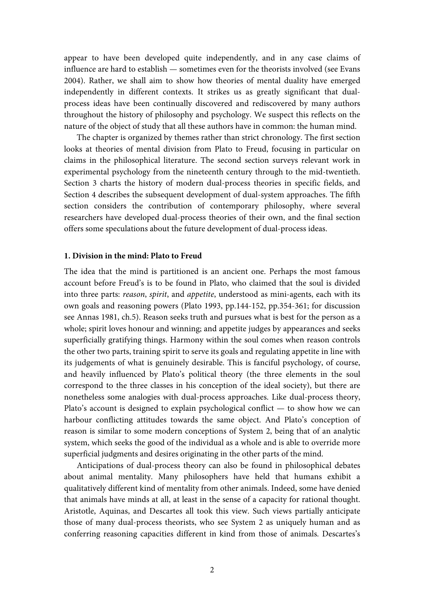appear to have been developed quite independently, and in any case claims of influence are hard to establish — sometimes even for the theorists involved (see Evans 2004). Rather, we shall aim to show how theories of mental duality have emerged independently in different contexts. It strikes us as greatly significant that dualprocess ideas have been continually discovered and rediscovered by many authors throughout the history of philosophy and psychology. We suspect this reflects on the nature of the object of study that all these authors have in common: the human mind.

 The chapter is organized by themes rather than strict chronology. The first section looks at theories of mental division from Plato to Freud, focusing in particular on claims in the philosophical literature. The second section surveys relevant work in experimental psychology from the nineteenth century through to the mid-twentieth. Section 3 charts the history of modern dual-process theories in specific fields, and Section 4 describes the subsequent development of dual-system approaches. The fifth section considers the contribution of contemporary philosophy, where several researchers have developed dual-process theories of their own, and the final section offers some speculations about the future development of dual-process ideas.

#### **1. Division in the mind: Plato to Freud**

The idea that the mind is partitioned is an ancient one. Perhaps the most famous account before Freud's is to be found in Plato, who claimed that the soul is divided into three parts: reason, spirit, and appetite, understood as mini-agents, each with its own goals and reasoning powers (Plato 1993, pp.144-152, pp.354-361; for discussion see Annas 1981, ch.5). Reason seeks truth and pursues what is best for the person as a whole; spirit loves honour and winning; and appetite judges by appearances and seeks superficially gratifying things. Harmony within the soul comes when reason controls the other two parts, training spirit to serve its goals and regulating appetite in line with its judgements of what is genuinely desirable. This is fanciful psychology, of course, and heavily influenced by Plato's political theory (the three elements in the soul correspond to the three classes in his conception of the ideal society), but there are nonetheless some analogies with dual-process approaches. Like dual-process theory, Plato's account is designed to explain psychological conflict — to show how we can harbour conflicting attitudes towards the same object. And Plato's conception of reason is similar to some modern conceptions of System 2, being that of an analytic system, which seeks the good of the individual as a whole and is able to override more superficial judgments and desires originating in the other parts of the mind.

 Anticipations of dual-process theory can also be found in philosophical debates about animal mentality. Many philosophers have held that humans exhibit a qualitatively different kind of mentality from other animals. Indeed, some have denied that animals have minds at all, at least in the sense of a capacity for rational thought. Aristotle, Aquinas, and Descartes all took this view. Such views partially anticipate those of many dual-process theorists, who see System 2 as uniquely human and as conferring reasoning capacities different in kind from those of animals. Descartes's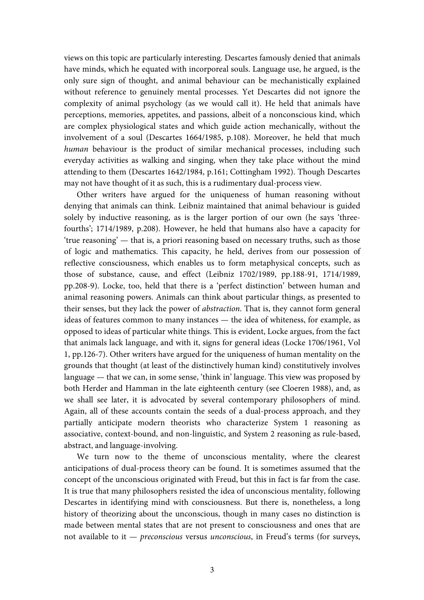views on this topic are particularly interesting. Descartes famously denied that animals have minds, which he equated with incorporeal souls. Language use, he argued, is the only sure sign of thought, and animal behaviour can be mechanistically explained without reference to genuinely mental processes. Yet Descartes did not ignore the complexity of animal psychology (as we would call it). He held that animals have perceptions, memories, appetites, and passions, albeit of a nonconscious kind, which are complex physiological states and which guide action mechanically, without the involvement of a soul (Descartes 1664/1985, p.108). Moreover, he held that much human behaviour is the product of similar mechanical processes, including such everyday activities as walking and singing, when they take place without the mind attending to them (Descartes 1642/1984, p.161; Cottingham 1992). Though Descartes may not have thought of it as such, this is a rudimentary dual-process view.

 Other writers have argued for the uniqueness of human reasoning without denying that animals can think. Leibniz maintained that animal behaviour is guided solely by inductive reasoning, as is the larger portion of our own (he says 'threefourths'; 1714/1989, p.208). However, he held that humans also have a capacity for 'true reasoning' — that is, a priori reasoning based on necessary truths, such as those of logic and mathematics. This capacity, he held, derives from our possession of reflective consciousness, which enables us to form metaphysical concepts, such as those of substance, cause, and effect (Leibniz 1702/1989, pp.188-91, 1714/1989, pp.208-9). Locke, too, held that there is a 'perfect distinction' between human and animal reasoning powers. Animals can think about particular things, as presented to their senses, but they lack the power of abstraction. That is, they cannot form general ideas of features common to many instances — the idea of whiteness, for example, as opposed to ideas of particular white things. This is evident, Locke argues, from the fact that animals lack language, and with it, signs for general ideas (Locke 1706/1961, Vol 1, pp.126-7). Other writers have argued for the uniqueness of human mentality on the grounds that thought (at least of the distinctively human kind) constitutively involves language — that we can, in some sense, 'think in' language. This view was proposed by both Herder and Hamman in the late eighteenth century (see Cloeren 1988), and, as we shall see later, it is advocated by several contemporary philosophers of mind. Again, all of these accounts contain the seeds of a dual-process approach, and they partially anticipate modern theorists who characterize System 1 reasoning as associative, context-bound, and non-linguistic, and System 2 reasoning as rule-based, abstract, and language-involving.

 We turn now to the theme of unconscious mentality, where the clearest anticipations of dual-process theory can be found. It is sometimes assumed that the concept of the unconscious originated with Freud, but this in fact is far from the case. It is true that many philosophers resisted the idea of unconscious mentality, following Descartes in identifying mind with consciousness. But there is, nonetheless, a long history of theorizing about the unconscious, though in many cases no distinction is made between mental states that are not present to consciousness and ones that are not available to it — preconscious versus unconscious, in Freud's terms (for surveys,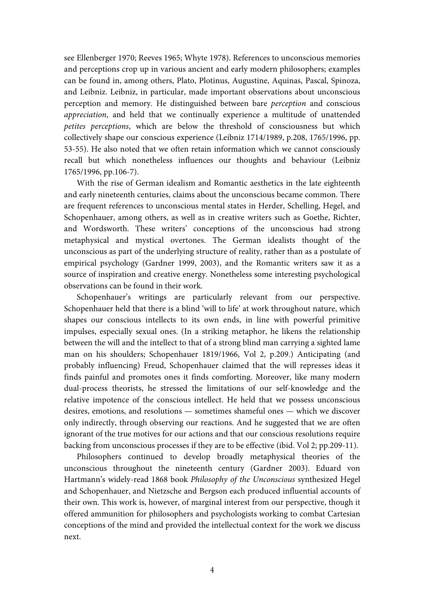see Ellenberger 1970; Reeves 1965; Whyte 1978). References to unconscious memories and perceptions crop up in various ancient and early modern philosophers; examples can be found in, among others, Plato, Plotinus, Augustine, Aquinas, Pascal, Spinoza, and Leibniz. Leibniz, in particular, made important observations about unconscious perception and memory. He distinguished between bare perception and conscious appreciation, and held that we continually experience a multitude of unattended petites perceptions, which are below the threshold of consciousness but which collectively shape our conscious experience (Leibniz 1714/1989, p.208, 1765/1996, pp. 53-55). He also noted that we often retain information which we cannot consciously recall but which nonetheless influences our thoughts and behaviour (Leibniz 1765/1996, pp.106-7).

 With the rise of German idealism and Romantic aesthetics in the late eighteenth and early nineteenth centuries, claims about the unconscious became common. There are frequent references to unconscious mental states in Herder, Schelling, Hegel, and Schopenhauer, among others, as well as in creative writers such as Goethe, Richter, and Wordsworth. These writers' conceptions of the unconscious had strong metaphysical and mystical overtones. The German idealists thought of the unconscious as part of the underlying structure of reality, rather than as a postulate of empirical psychology (Gardner 1999, 2003), and the Romantic writers saw it as a source of inspiration and creative energy. Nonetheless some interesting psychological observations can be found in their work.

 Schopenhauer's writings are particularly relevant from our perspective. Schopenhauer held that there is a blind 'will to life' at work throughout nature, which shapes our conscious intellects to its own ends, in line with powerful primitive impulses, especially sexual ones. (In a striking metaphor, he likens the relationship between the will and the intellect to that of a strong blind man carrying a sighted lame man on his shoulders; Schopenhauer 1819/1966, Vol 2, p.209.) Anticipating (and probably influencing) Freud, Schopenhauer claimed that the will represses ideas it finds painful and promotes ones it finds comforting. Moreover, like many modern dual-process theorists, he stressed the limitations of our self-knowledge and the relative impotence of the conscious intellect. He held that we possess unconscious desires, emotions, and resolutions — sometimes shameful ones — which we discover only indirectly, through observing our reactions. And he suggested that we are often ignorant of the true motives for our actions and that our conscious resolutions require backing from unconscious processes if they are to be effective (ibid. Vol 2; pp.209-11).

 Philosophers continued to develop broadly metaphysical theories of the unconscious throughout the nineteenth century (Gardner 2003). Eduard von Hartmann's widely-read 1868 book Philosophy of the Unconscious synthesized Hegel and Schopenhauer, and Nietzsche and Bergson each produced influential accounts of their own. This work is, however, of marginal interest from our perspective, though it offered ammunition for philosophers and psychologists working to combat Cartesian conceptions of the mind and provided the intellectual context for the work we discuss next.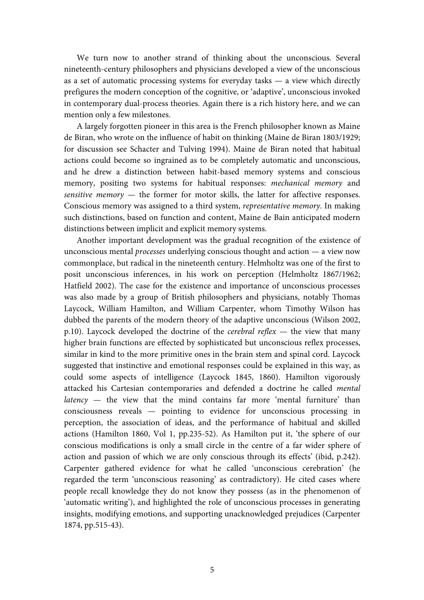We turn now to another strand of thinking about the unconscious. Several nineteenth-century philosophers and physicians developed a view of the unconscious as a set of automatic processing systems for everyday tasks — a view which directly prefigures the modern conception of the cognitive, or 'adaptive', unconscious invoked in contemporary dual-process theories. Again there is a rich history here, and we can mention only a few milestones.

 A largely forgotten pioneer in this area is the French philosopher known as Maine de Biran, who wrote on the influence of habit on thinking (Maine de Biran 1803/1929; for discussion see Schacter and Tulving 1994). Maine de Biran noted that habitual actions could become so ingrained as to be completely automatic and unconscious, and he drew a distinction between habit-based memory systems and conscious memory, positing two systems for habitual responses: mechanical memory and sensitive memory — the former for motor skills, the latter for affective responses. Conscious memory was assigned to a third system, representative memory. In making such distinctions, based on function and content, Maine de Bain anticipated modern distinctions between implicit and explicit memory systems.

 Another important development was the gradual recognition of the existence of unconscious mental *processes* underlying conscious thought and action  $-$  a view now commonplace, but radical in the nineteenth century. Helmholtz was one of the first to posit unconscious inferences, in his work on perception (Helmholtz 1867/1962; Hatfield 2002). The case for the existence and importance of unconscious processes was also made by a group of British philosophers and physicians, notably Thomas Laycock, William Hamilton, and William Carpenter, whom Timothy Wilson has dubbed the parents of the modern theory of the adaptive unconscious (Wilson 2002, p.10). Laycock developed the doctrine of the *cerebral reflex*  $-$  the view that many higher brain functions are effected by sophisticated but unconscious reflex processes, similar in kind to the more primitive ones in the brain stem and spinal cord. Laycock suggested that instinctive and emotional responses could be explained in this way, as could some aspects of intelligence (Laycock 1845, 1860). Hamilton vigorously attacked his Cartesian contemporaries and defended a doctrine he called mental latency — the view that the mind contains far more 'mental furniture' than consciousness reveals — pointing to evidence for unconscious processing in perception, the association of ideas, and the performance of habitual and skilled actions (Hamilton 1860, Vol 1, pp.235-52). As Hamilton put it, 'the sphere of our conscious modifications is only a small circle in the centre of a far wider sphere of action and passion of which we are only conscious through its effects' (ibid, p.242). Carpenter gathered evidence for what he called 'unconscious cerebration' (he regarded the term 'unconscious reasoning' as contradictory). He cited cases where people recall knowledge they do not know they possess (as in the phenomenon of 'automatic writing'), and highlighted the role of unconscious processes in generating insights, modifying emotions, and supporting unacknowledged prejudices (Carpenter 1874, pp.515-43).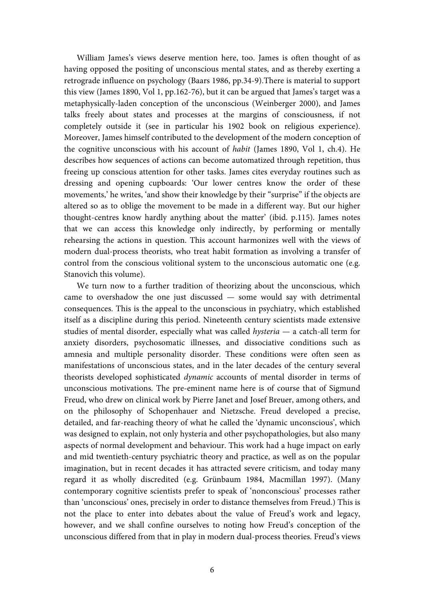William James's views deserve mention here, too. James is often thought of as having opposed the positing of unconscious mental states, and as thereby exerting a retrograde influence on psychology (Baars 1986, pp.34-9).There is material to support this view (James 1890, Vol 1, pp.162-76), but it can be argued that James's target was a metaphysically-laden conception of the unconscious (Weinberger 2000), and James talks freely about states and processes at the margins of consciousness, if not completely outside it (see in particular his 1902 book on religious experience). Moreover, James himself contributed to the development of the modern conception of the cognitive unconscious with his account of habit (James 1890, Vol 1, ch.4). He describes how sequences of actions can become automatized through repetition, thus freeing up conscious attention for other tasks. James cites everyday routines such as dressing and opening cupboards: 'Our lower centres know the order of these movements,' he writes, 'and show their knowledge by their "surprise" if the objects are altered so as to oblige the movement to be made in a different way. But our higher thought-centres know hardly anything about the matter' (ibid. p.115). James notes that we can access this knowledge only indirectly, by performing or mentally rehearsing the actions in question. This account harmonizes well with the views of modern dual-process theorists, who treat habit formation as involving a transfer of control from the conscious volitional system to the unconscious automatic one (e.g. Stanovich this volume).

 We turn now to a further tradition of theorizing about the unconscious, which came to overshadow the one just discussed — some would say with detrimental consequences. This is the appeal to the unconscious in psychiatry, which established itself as a discipline during this period. Nineteenth century scientists made extensive studies of mental disorder, especially what was called hysteria — a catch-all term for anxiety disorders, psychosomatic illnesses, and dissociative conditions such as amnesia and multiple personality disorder. These conditions were often seen as manifestations of unconscious states, and in the later decades of the century several theorists developed sophisticated dynamic accounts of mental disorder in terms of unconscious motivations. The pre-eminent name here is of course that of Sigmund Freud, who drew on clinical work by Pierre Janet and Josef Breuer, among others, and on the philosophy of Schopenhauer and Nietzsche. Freud developed a precise, detailed, and far-reaching theory of what he called the 'dynamic unconscious', which was designed to explain, not only hysteria and other psychopathologies, but also many aspects of normal development and behaviour. This work had a huge impact on early and mid twentieth-century psychiatric theory and practice, as well as on the popular imagination, but in recent decades it has attracted severe criticism, and today many regard it as wholly discredited (e.g. Grünbaum 1984, Macmillan 1997). (Many contemporary cognitive scientists prefer to speak of 'nonconscious' processes rather than 'unconscious' ones, precisely in order to distance themselves from Freud.) This is not the place to enter into debates about the value of Freud's work and legacy, however, and we shall confine ourselves to noting how Freud's conception of the unconscious differed from that in play in modern dual-process theories. Freud's views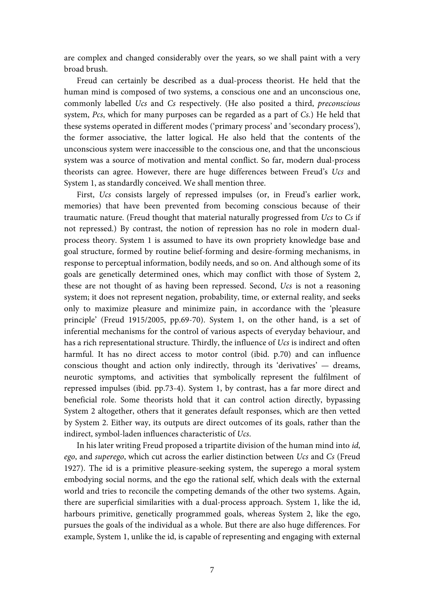are complex and changed considerably over the years, so we shall paint with a very broad brush.

 Freud can certainly be described as a dual-process theorist. He held that the human mind is composed of two systems, a conscious one and an unconscious one, commonly labelled Ucs and Cs respectively. (He also posited a third, preconscious system, Pcs, which for many purposes can be regarded as a part of Cs.) He held that these systems operated in different modes ('primary process' and 'secondary process'), the former associative, the latter logical. He also held that the contents of the unconscious system were inaccessible to the conscious one, and that the unconscious system was a source of motivation and mental conflict. So far, modern dual-process theorists can agree. However, there are huge differences between Freud's Ucs and System 1, as standardly conceived. We shall mention three.

 First, Ucs consists largely of repressed impulses (or, in Freud's earlier work, memories) that have been prevented from becoming conscious because of their traumatic nature. (Freud thought that material naturally progressed from Ucs to Cs if not repressed.) By contrast, the notion of repression has no role in modern dualprocess theory. System 1 is assumed to have its own propriety knowledge base and goal structure, formed by routine belief-forming and desire-forming mechanisms, in response to perceptual information, bodily needs, and so on. And although some of its goals are genetically determined ones, which may conflict with those of System 2, these are not thought of as having been repressed. Second, Ucs is not a reasoning system; it does not represent negation, probability, time, or external reality, and seeks only to maximize pleasure and minimize pain, in accordance with the 'pleasure principle' (Freud 1915/2005, pp.69-70). System 1, on the other hand, is a set of inferential mechanisms for the control of various aspects of everyday behaviour, and has a rich representational structure. Thirdly, the influence of Ucs is indirect and often harmful. It has no direct access to motor control (ibid. p.70) and can influence conscious thought and action only indirectly, through its 'derivatives' — dreams, neurotic symptoms, and activities that symbolically represent the fulfilment of repressed impulses (ibid. pp.73-4). System 1, by contrast, has a far more direct and beneficial role. Some theorists hold that it can control action directly, bypassing System 2 altogether, others that it generates default responses, which are then vetted by System 2. Either way, its outputs are direct outcomes of its goals, rather than the indirect, symbol-laden influences characteristic of Ucs.

 In his later writing Freud proposed a tripartite division of the human mind into id, ego, and superego, which cut across the earlier distinction between Ucs and Cs (Freud 1927). The id is a primitive pleasure-seeking system, the superego a moral system embodying social norms, and the ego the rational self, which deals with the external world and tries to reconcile the competing demands of the other two systems. Again, there are superficial similarities with a dual-process approach. System 1, like the id, harbours primitive, genetically programmed goals, whereas System 2, like the ego, pursues the goals of the individual as a whole. But there are also huge differences. For example, System 1, unlike the id, is capable of representing and engaging with external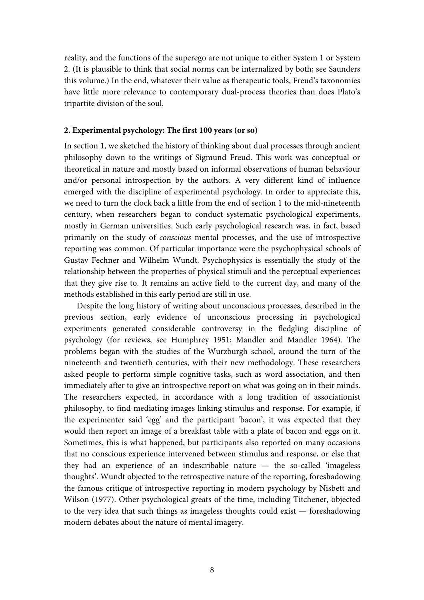reality, and the functions of the superego are not unique to either System 1 or System 2. (It is plausible to think that social norms can be internalized by both; see Saunders this volume.) In the end, whatever their value as therapeutic tools, Freud's taxonomies have little more relevance to contemporary dual-process theories than does Plato's tripartite division of the soul.

### **2. Experimental psychology: The first 100 years (or so)**

In section 1, we sketched the history of thinking about dual processes through ancient philosophy down to the writings of Sigmund Freud. This work was conceptual or theoretical in nature and mostly based on informal observations of human behaviour and/or personal introspection by the authors. A very different kind of influence emerged with the discipline of experimental psychology. In order to appreciate this, we need to turn the clock back a little from the end of section 1 to the mid-nineteenth century, when researchers began to conduct systematic psychological experiments, mostly in German universities. Such early psychological research was, in fact, based primarily on the study of conscious mental processes, and the use of introspective reporting was common. Of particular importance were the psychophysical schools of Gustav Fechner and Wilhelm Wundt. Psychophysics is essentially the study of the relationship between the properties of physical stimuli and the perceptual experiences that they give rise to. It remains an active field to the current day, and many of the methods established in this early period are still in use.

 Despite the long history of writing about unconscious processes, described in the previous section, early evidence of unconscious processing in psychological experiments generated considerable controversy in the fledgling discipline of psychology (for reviews, see Humphrey 1951; Mandler and Mandler 1964). The problems began with the studies of the Wurzburgh school, around the turn of the nineteenth and twentieth centuries, with their new methodology. These researchers asked people to perform simple cognitive tasks, such as word association, and then immediately after to give an introspective report on what was going on in their minds. The researchers expected, in accordance with a long tradition of associationist philosophy, to find mediating images linking stimulus and response. For example, if the experimenter said 'egg' and the participant 'bacon', it was expected that they would then report an image of a breakfast table with a plate of bacon and eggs on it. Sometimes, this is what happened, but participants also reported on many occasions that no conscious experience intervened between stimulus and response, or else that they had an experience of an indescribable nature — the so-called 'imageless thoughts'. Wundt objected to the retrospective nature of the reporting, foreshadowing the famous critique of introspective reporting in modern psychology by Nisbett and Wilson (1977). Other psychological greats of the time, including Titchener, objected to the very idea that such things as imageless thoughts could exist — foreshadowing modern debates about the nature of mental imagery.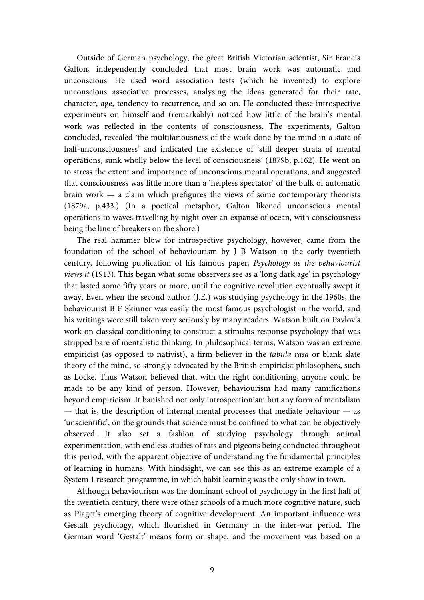Outside of German psychology, the great British Victorian scientist, Sir Francis Galton, independently concluded that most brain work was automatic and unconscious. He used word association tests (which he invented) to explore unconscious associative processes, analysing the ideas generated for their rate, character, age, tendency to recurrence, and so on. He conducted these introspective experiments on himself and (remarkably) noticed how little of the brain's mental work was reflected in the contents of consciousness. The experiments, Galton concluded, revealed 'the multifariousness of the work done by the mind in a state of half-unconsciousness' and indicated the existence of 'still deeper strata of mental operations, sunk wholly below the level of consciousness' (1879b, p.162). He went on to stress the extent and importance of unconscious mental operations, and suggested that consciousness was little more than a 'helpless spectator' of the bulk of automatic brain work — a claim which prefigures the views of some contemporary theorists (1879a, p.433.) (In a poetical metaphor, Galton likened unconscious mental operations to waves travelling by night over an expanse of ocean, with consciousness being the line of breakers on the shore.)

 The real hammer blow for introspective psychology, however, came from the foundation of the school of behaviourism by J B Watson in the early twentieth century, following publication of his famous paper, Psychology as the behaviourist views it (1913). This began what some observers see as a 'long dark age' in psychology that lasted some fifty years or more, until the cognitive revolution eventually swept it away. Even when the second author (J.E.) was studying psychology in the 1960s, the behaviourist B F Skinner was easily the most famous psychologist in the world, and his writings were still taken very seriously by many readers. Watson built on Pavlov's work on classical conditioning to construct a stimulus-response psychology that was stripped bare of mentalistic thinking. In philosophical terms, Watson was an extreme empiricist (as opposed to nativist), a firm believer in the tabula rasa or blank slate theory of the mind, so strongly advocated by the British empiricist philosophers, such as Locke. Thus Watson believed that, with the right conditioning, anyone could be made to be any kind of person. However, behaviourism had many ramifications beyond empiricism. It banished not only introspectionism but any form of mentalism — that is, the description of internal mental processes that mediate behaviour — as 'unscientific', on the grounds that science must be confined to what can be objectively observed. It also set a fashion of studying psychology through animal experimentation, with endless studies of rats and pigeons being conducted throughout this period, with the apparent objective of understanding the fundamental principles of learning in humans. With hindsight, we can see this as an extreme example of a System 1 research programme, in which habit learning was the only show in town.

 Although behaviourism was the dominant school of psychology in the first half of the twentieth century, there were other schools of a much more cognitive nature, such as Piaget's emerging theory of cognitive development. An important influence was Gestalt psychology, which flourished in Germany in the inter-war period. The German word 'Gestalt' means form or shape, and the movement was based on a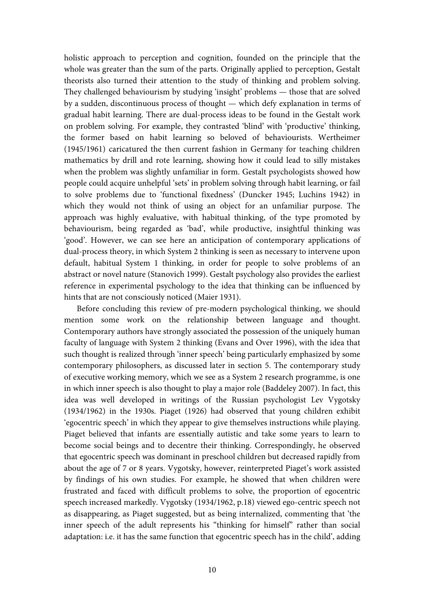holistic approach to perception and cognition, founded on the principle that the whole was greater than the sum of the parts. Originally applied to perception, Gestalt theorists also turned their attention to the study of thinking and problem solving. They challenged behaviourism by studying 'insight' problems — those that are solved by a sudden, discontinuous process of thought — which defy explanation in terms of gradual habit learning. There are dual-process ideas to be found in the Gestalt work on problem solving. For example, they contrasted 'blind' with 'productive' thinking, the former based on habit learning so beloved of behaviourists. Wertheimer (1945/1961) caricatured the then current fashion in Germany for teaching children mathematics by drill and rote learning, showing how it could lead to silly mistakes when the problem was slightly unfamiliar in form. Gestalt psychologists showed how people could acquire unhelpful 'sets' in problem solving through habit learning, or fail to solve problems due to 'functional fixedness' (Duncker 1945; Luchins 1942) in which they would not think of using an object for an unfamiliar purpose. The approach was highly evaluative, with habitual thinking, of the type promoted by behaviourism, being regarded as 'bad', while productive, insightful thinking was 'good'. However, we can see here an anticipation of contemporary applications of dual-process theory, in which System 2 thinking is seen as necessary to intervene upon default, habitual System 1 thinking, in order for people to solve problems of an abstract or novel nature (Stanovich 1999). Gestalt psychology also provides the earliest reference in experimental psychology to the idea that thinking can be influenced by hints that are not consciously noticed (Maier 1931).

 Before concluding this review of pre-modern psychological thinking, we should mention some work on the relationship between language and thought. Contemporary authors have strongly associated the possession of the uniquely human faculty of language with System 2 thinking (Evans and Over 1996), with the idea that such thought is realized through 'inner speech' being particularly emphasized by some contemporary philosophers, as discussed later in section 5. The contemporary study of executive working memory, which we see as a System 2 research programme, is one in which inner speech is also thought to play a major role (Baddeley 2007). In fact, this idea was well developed in writings of the Russian psychologist Lev Vygotsky (1934/1962) in the 1930s. Piaget (1926) had observed that young children exhibit 'egocentric speech' in which they appear to give themselves instructions while playing. Piaget believed that infants are essentially autistic and take some years to learn to become social beings and to decentre their thinking. Correspondingly, he observed that egocentric speech was dominant in preschool children but decreased rapidly from about the age of 7 or 8 years. Vygotsky, however, reinterpreted Piaget's work assisted by findings of his own studies. For example, he showed that when children were frustrated and faced with difficult problems to solve, the proportion of egocentric speech increased markedly. Vygotsky (1934/1962, p.18) viewed ego-centric speech not as disappearing, as Piaget suggested, but as being internalized, commenting that 'the inner speech of the adult represents his "thinking for himself" rather than social adaptation: i.e. it has the same function that egocentric speech has in the child', adding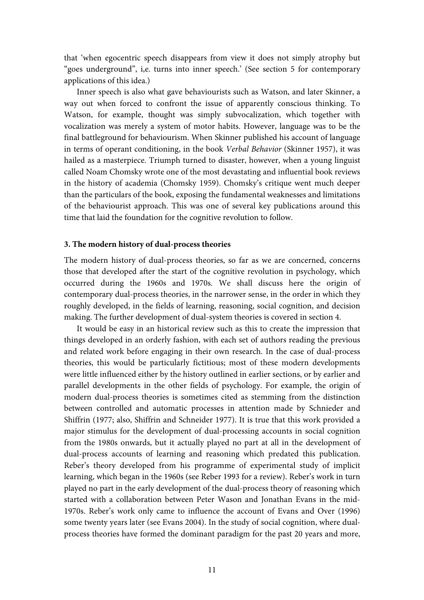that 'when egocentric speech disappears from view it does not simply atrophy but "goes underground", i,e. turns into inner speech.' (See section 5 for contemporary applications of this idea.)

 Inner speech is also what gave behaviourists such as Watson, and later Skinner, a way out when forced to confront the issue of apparently conscious thinking. To Watson, for example, thought was simply subvocalization, which together with vocalization was merely a system of motor habits. However, language was to be the final battleground for behaviourism. When Skinner published his account of language in terms of operant conditioning, in the book Verbal Behavior (Skinner 1957), it was hailed as a masterpiece. Triumph turned to disaster, however, when a young linguist called Noam Chomsky wrote one of the most devastating and influential book reviews in the history of academia (Chomsky 1959). Chomsky's critique went much deeper than the particulars of the book, exposing the fundamental weaknesses and limitations of the behaviourist approach. This was one of several key publications around this time that laid the foundation for the cognitive revolution to follow.

### **3. The modern history of dual-process theories**

The modern history of dual-process theories, so far as we are concerned, concerns those that developed after the start of the cognitive revolution in psychology, which occurred during the 1960s and 1970s. We shall discuss here the origin of contemporary dual-process theories, in the narrower sense, in the order in which they roughly developed, in the fields of learning, reasoning, social cognition, and decision making. The further development of dual-system theories is covered in section 4.

 It would be easy in an historical review such as this to create the impression that things developed in an orderly fashion, with each set of authors reading the previous and related work before engaging in their own research. In the case of dual-process theories, this would be particularly fictitious; most of these modern developments were little influenced either by the history outlined in earlier sections, or by earlier and parallel developments in the other fields of psychology. For example, the origin of modern dual-process theories is sometimes cited as stemming from the distinction between controlled and automatic processes in attention made by Schnieder and Shiffrin (1977; also, Shiffrin and Schneider 1977). It is true that this work provided a major stimulus for the development of dual-processing accounts in social cognition from the 1980s onwards, but it actually played no part at all in the development of dual-process accounts of learning and reasoning which predated this publication. Reber's theory developed from his programme of experimental study of implicit learning, which began in the 1960s (see Reber 1993 for a review). Reber's work in turn played no part in the early development of the dual-process theory of reasoning which started with a collaboration between Peter Wason and Jonathan Evans in the mid-1970s. Reber's work only came to influence the account of Evans and Over (1996) some twenty years later (see Evans 2004). In the study of social cognition, where dualprocess theories have formed the dominant paradigm for the past 20 years and more,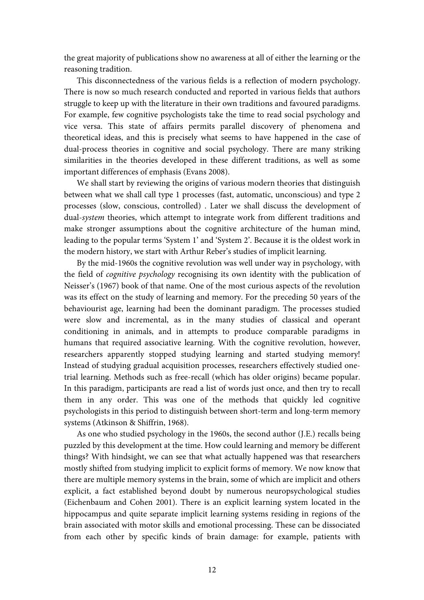the great majority of publications show no awareness at all of either the learning or the reasoning tradition.

 This disconnectedness of the various fields is a reflection of modern psychology. There is now so much research conducted and reported in various fields that authors struggle to keep up with the literature in their own traditions and favoured paradigms. For example, few cognitive psychologists take the time to read social psychology and vice versa. This state of affairs permits parallel discovery of phenomena and theoretical ideas, and this is precisely what seems to have happened in the case of dual-process theories in cognitive and social psychology. There are many striking similarities in the theories developed in these different traditions, as well as some important differences of emphasis (Evans 2008).

 We shall start by reviewing the origins of various modern theories that distinguish between what we shall call type 1 processes (fast, automatic, unconscious) and type 2 processes (slow, conscious, controlled) . Later we shall discuss the development of dual-system theories, which attempt to integrate work from different traditions and make stronger assumptions about the cognitive architecture of the human mind, leading to the popular terms 'System 1' and 'System 2'. Because it is the oldest work in the modern history, we start with Arthur Reber's studies of implicit learning.

 By the mid-1960s the cognitive revolution was well under way in psychology, with the field of cognitive psychology recognising its own identity with the publication of Neisser's (1967) book of that name. One of the most curious aspects of the revolution was its effect on the study of learning and memory. For the preceding 50 years of the behaviourist age, learning had been the dominant paradigm. The processes studied were slow and incremental, as in the many studies of classical and operant conditioning in animals, and in attempts to produce comparable paradigms in humans that required associative learning. With the cognitive revolution, however, researchers apparently stopped studying learning and started studying memory! Instead of studying gradual acquisition processes, researchers effectively studied onetrial learning. Methods such as free-recall (which has older origins) became popular. In this paradigm, participants are read a list of words just once, and then try to recall them in any order. This was one of the methods that quickly led cognitive psychologists in this period to distinguish between short-term and long-term memory systems (Atkinson & Shiffrin, 1968).

 As one who studied psychology in the 1960s, the second author (J.E.) recalls being puzzled by this development at the time. How could learning and memory be different things? With hindsight, we can see that what actually happened was that researchers mostly shifted from studying implicit to explicit forms of memory. We now know that there are multiple memory systems in the brain, some of which are implicit and others explicit, a fact established beyond doubt by numerous neuropsychological studies (Eichenbaum and Cohen 2001). There is an explicit learning system located in the hippocampus and quite separate implicit learning systems residing in regions of the brain associated with motor skills and emotional processing. These can be dissociated from each other by specific kinds of brain damage: for example, patients with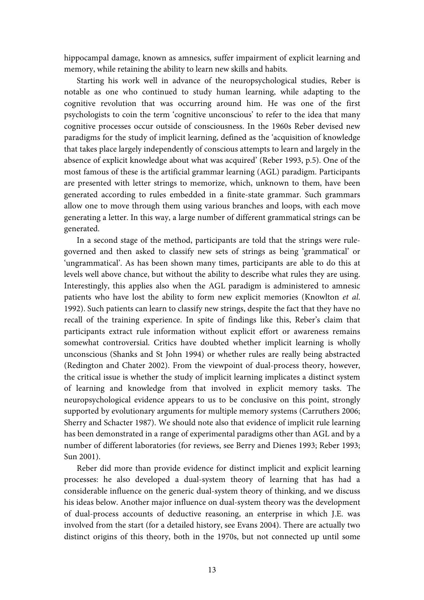hippocampal damage, known as amnesics, suffer impairment of explicit learning and memory, while retaining the ability to learn new skills and habits.

 Starting his work well in advance of the neuropsychological studies, Reber is notable as one who continued to study human learning, while adapting to the cognitive revolution that was occurring around him. He was one of the first psychologists to coin the term 'cognitive unconscious' to refer to the idea that many cognitive processes occur outside of consciousness. In the 1960s Reber devised new paradigms for the study of implicit learning, defined as the 'acquisition of knowledge that takes place largely independently of conscious attempts to learn and largely in the absence of explicit knowledge about what was acquired' (Reber 1993, p.5). One of the most famous of these is the artificial grammar learning (AGL) paradigm. Participants are presented with letter strings to memorize, which, unknown to them, have been generated according to rules embedded in a finite-state grammar. Such grammars allow one to move through them using various branches and loops, with each move generating a letter. In this way, a large number of different grammatical strings can be generated.

 In a second stage of the method, participants are told that the strings were rulegoverned and then asked to classify new sets of strings as being 'grammatical' or 'ungrammatical'. As has been shown many times, participants are able to do this at levels well above chance, but without the ability to describe what rules they are using. Interestingly, this applies also when the AGL paradigm is administered to amnesic patients who have lost the ability to form new explicit memories (Knowlton et al. 1992). Such patients can learn to classify new strings, despite the fact that they have no recall of the training experience. In spite of findings like this, Reber's claim that participants extract rule information without explicit effort or awareness remains somewhat controversial. Critics have doubted whether implicit learning is wholly unconscious (Shanks and St John 1994) or whether rules are really being abstracted (Redington and Chater 2002). From the viewpoint of dual-process theory, however, the critical issue is whether the study of implicit learning implicates a distinct system of learning and knowledge from that involved in explicit memory tasks. The neuropsychological evidence appears to us to be conclusive on this point, strongly supported by evolutionary arguments for multiple memory systems (Carruthers 2006; Sherry and Schacter 1987). We should note also that evidence of implicit rule learning has been demonstrated in a range of experimental paradigms other than AGL and by a number of different laboratories (for reviews, see Berry and Dienes 1993; Reber 1993; Sun 2001).

 Reber did more than provide evidence for distinct implicit and explicit learning processes: he also developed a dual-system theory of learning that has had a considerable influence on the generic dual-system theory of thinking, and we discuss his ideas below. Another major influence on dual-system theory was the development of dual-process accounts of deductive reasoning, an enterprise in which J.E. was involved from the start (for a detailed history, see Evans 2004). There are actually two distinct origins of this theory, both in the 1970s, but not connected up until some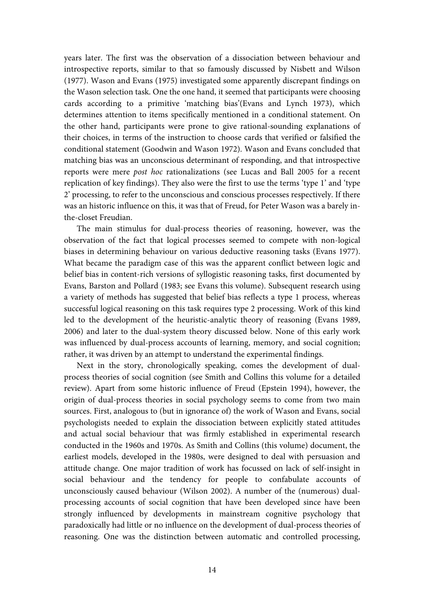years later. The first was the observation of a dissociation between behaviour and introspective reports, similar to that so famously discussed by Nisbett and Wilson (1977). Wason and Evans (1975) investigated some apparently discrepant findings on the Wason selection task. One the one hand, it seemed that participants were choosing cards according to a primitive 'matching bias'(Evans and Lynch 1973), which determines attention to items specifically mentioned in a conditional statement. On the other hand, participants were prone to give rational-sounding explanations of their choices, in terms of the instruction to choose cards that verified or falsified the conditional statement (Goodwin and Wason 1972). Wason and Evans concluded that matching bias was an unconscious determinant of responding, and that introspective reports were mere post hoc rationalizations (see Lucas and Ball 2005 for a recent replication of key findings). They also were the first to use the terms 'type 1' and 'type 2' processing, to refer to the unconscious and conscious processes respectively. If there was an historic influence on this, it was that of Freud, for Peter Wason was a barely inthe-closet Freudian.

 The main stimulus for dual-process theories of reasoning, however, was the observation of the fact that logical processes seemed to compete with non-logical biases in determining behaviour on various deductive reasoning tasks (Evans 1977). What became the paradigm case of this was the apparent conflict between logic and belief bias in content-rich versions of syllogistic reasoning tasks, first documented by Evans, Barston and Pollard (1983; see Evans this volume). Subsequent research using a variety of methods has suggested that belief bias reflects a type 1 process, whereas successful logical reasoning on this task requires type 2 processing. Work of this kind led to the development of the heuristic-analytic theory of reasoning (Evans 1989, 2006) and later to the dual-system theory discussed below. None of this early work was influenced by dual-process accounts of learning, memory, and social cognition; rather, it was driven by an attempt to understand the experimental findings.

 Next in the story, chronologically speaking, comes the development of dualprocess theories of social cognition (see Smith and Collins this volume for a detailed review). Apart from some historic influence of Freud (Epstein 1994), however, the origin of dual-process theories in social psychology seems to come from two main sources. First, analogous to (but in ignorance of) the work of Wason and Evans, social psychologists needed to explain the dissociation between explicitly stated attitudes and actual social behaviour that was firmly established in experimental research conducted in the 1960s and 1970s. As Smith and Collins (this volume) document, the earliest models, developed in the 1980s, were designed to deal with persuasion and attitude change. One major tradition of work has focussed on lack of self-insight in social behaviour and the tendency for people to confabulate accounts of unconsciously caused behaviour (Wilson 2002). A number of the (numerous) dualprocessing accounts of social cognition that have been developed since have been strongly influenced by developments in mainstream cognitive psychology that paradoxically had little or no influence on the development of dual-process theories of reasoning. One was the distinction between automatic and controlled processing,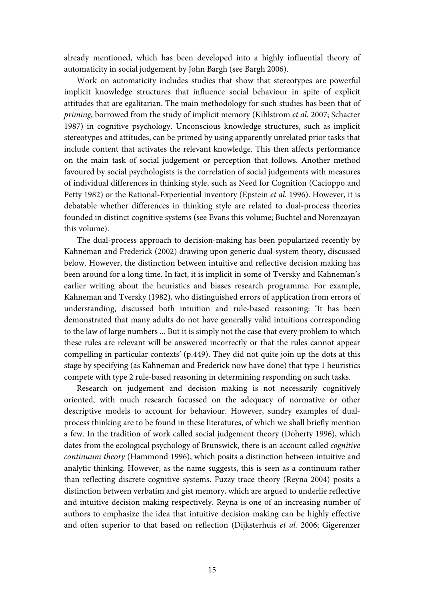already mentioned, which has been developed into a highly influential theory of automaticity in social judgement by John Bargh (see Bargh 2006).

 Work on automaticity includes studies that show that stereotypes are powerful implicit knowledge structures that influence social behaviour in spite of explicit attitudes that are egalitarian. The main methodology for such studies has been that of priming, borrowed from the study of implicit memory (Kihlstrom et al. 2007; Schacter 1987) in cognitive psychology. Unconscious knowledge structures, such as implicit stereotypes and attitudes, can be primed by using apparently unrelated prior tasks that include content that activates the relevant knowledge. This then affects performance on the main task of social judgement or perception that follows. Another method favoured by social psychologists is the correlation of social judgements with measures of individual differences in thinking style, such as Need for Cognition (Cacioppo and Petty 1982) or the Rational-Experiential inventory (Epstein et al. 1996). However, it is debatable whether differences in thinking style are related to dual-process theories founded in distinct cognitive systems (see Evans this volume; Buchtel and Norenzayan this volume).

 The dual-process approach to decision-making has been popularized recently by Kahneman and Frederick (2002) drawing upon generic dual-system theory, discussed below. However, the distinction between intuitive and reflective decision making has been around for a long time. In fact, it is implicit in some of Tversky and Kahneman's earlier writing about the heuristics and biases research programme. For example, Kahneman and Tversky (1982), who distinguished errors of application from errors of understanding, discussed both intuition and rule-based reasoning: 'It has been demonstrated that many adults do not have generally valid intuitions corresponding to the law of large numbers ... But it is simply not the case that every problem to which these rules are relevant will be answered incorrectly or that the rules cannot appear compelling in particular contexts' (p.449). They did not quite join up the dots at this stage by specifying (as Kahneman and Frederick now have done) that type 1 heuristics compete with type 2 rule-based reasoning in determining responding on such tasks.

 Research on judgement and decision making is not necessarily cognitively oriented, with much research focussed on the adequacy of normative or other descriptive models to account for behaviour. However, sundry examples of dualprocess thinking are to be found in these literatures, of which we shall briefly mention a few. In the tradition of work called social judgement theory (Doherty 1996), which dates from the ecological psychology of Brunswick, there is an account called cognitive continuum theory (Hammond 1996), which posits a distinction between intuitive and analytic thinking. However, as the name suggests, this is seen as a continuum rather than reflecting discrete cognitive systems. Fuzzy trace theory (Reyna 2004) posits a distinction between verbatim and gist memory, which are argued to underlie reflective and intuitive decision making respectively. Reyna is one of an increasing number of authors to emphasize the idea that intuitive decision making can be highly effective and often superior to that based on reflection (Dijksterhuis et al. 2006; Gigerenzer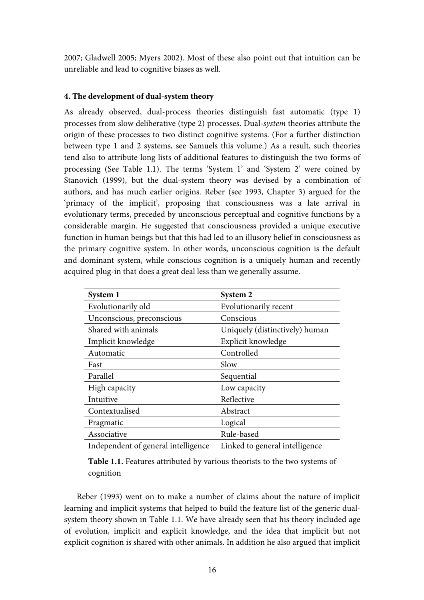2007; Gladwell 2005; Myers 2002). Most of these also point out that intuition can be unreliable and lead to cognitive biases as well.

## **4. The development of dual-system theory**

As already observed, dual-process theories distinguish fast automatic (type 1) processes from slow deliberative (type 2) processes. Dual-system theories attribute the origin of these processes to two distinct cognitive systems. (For a further distinction between type 1 and 2 systems, see Samuels this volume.) As a result, such theories tend also to attribute long lists of additional features to distinguish the two forms of processing (See Table 1.1). The terms 'System 1' and 'System 2' were coined by Stanovich (1999), but the dual-system theory was devised by a combination of authors, and has much earlier origins. Reber (see 1993, Chapter 3) argued for the 'primacy of the implicit', proposing that consciousness was a late arrival in evolutionary terms, preceded by unconscious perceptual and cognitive functions by a considerable margin. He suggested that consciousness provided a unique executive function in human beings but that this had led to an illusory belief in consciousness as the primary cognitive system. In other words, unconscious cognition is the default and dominant system, while conscious cognition is a uniquely human and recently acquired plug-in that does a great deal less than we generally assume.

| System 1                            | System 2                       |
|-------------------------------------|--------------------------------|
| Evolutionarily old                  | Evolutionarily recent          |
| Unconscious, preconscious           | Conscious                      |
| Shared with animals                 | Uniquely (distinctively) human |
| Implicit knowledge                  | Explicit knowledge             |
| Automatic                           | Controlled                     |
| Fast                                | Slow                           |
| Parallel                            | Sequential                     |
| High capacity                       | Low capacity                   |
| Intuitive                           | Reflective                     |
| Contextualised                      | Abstract                       |
| Pragmatic                           | Logical                        |
| Associative                         | Rule-based                     |
| Independent of general intelligence | Linked to general intelligence |

**Table 1.1.** Features attributed by various theorists to the two systems of cognition

 Reber (1993) went on to make a number of claims about the nature of implicit learning and implicit systems that helped to build the feature list of the generic dualsystem theory shown in Table 1.1. We have already seen that his theory included age of evolution, implicit and explicit knowledge, and the idea that implicit but not explicit cognition is shared with other animals. In addition he also argued that implicit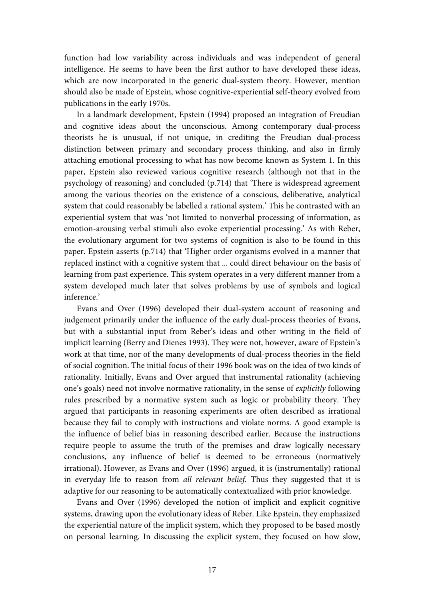function had low variability across individuals and was independent of general intelligence. He seems to have been the first author to have developed these ideas, which are now incorporated in the generic dual-system theory. However, mention should also be made of Epstein, whose cognitive-experiential self-theory evolved from publications in the early 1970s.

 In a landmark development, Epstein (1994) proposed an integration of Freudian and cognitive ideas about the unconscious. Among contemporary dual-process theorists he is unusual, if not unique, in crediting the Freudian dual-process distinction between primary and secondary process thinking, and also in firmly attaching emotional processing to what has now become known as System 1. In this paper, Epstein also reviewed various cognitive research (although not that in the psychology of reasoning) and concluded (p.714) that 'There is widespread agreement among the various theories on the existence of a conscious, deliberative, analytical system that could reasonably be labelled a rational system.' This he contrasted with an experiential system that was 'not limited to nonverbal processing of information, as emotion-arousing verbal stimuli also evoke experiential processing.' As with Reber, the evolutionary argument for two systems of cognition is also to be found in this paper. Epstein asserts (p.714) that 'Higher order organisms evolved in a manner that replaced instinct with a cognitive system that ... could direct behaviour on the basis of learning from past experience. This system operates in a very different manner from a system developed much later that solves problems by use of symbols and logical inference.'

 Evans and Over (1996) developed their dual-system account of reasoning and judgement primarily under the influence of the early dual-process theories of Evans, but with a substantial input from Reber's ideas and other writing in the field of implicit learning (Berry and Dienes 1993). They were not, however, aware of Epstein's work at that time, nor of the many developments of dual-process theories in the field of social cognition. The initial focus of their 1996 book was on the idea of two kinds of rationality. Initially, Evans and Over argued that instrumental rationality (achieving one's goals) need not involve normative rationality, in the sense of explicitly following rules prescribed by a normative system such as logic or probability theory. They argued that participants in reasoning experiments are often described as irrational because they fail to comply with instructions and violate norms. A good example is the influence of belief bias in reasoning described earlier. Because the instructions require people to assume the truth of the premises and draw logically necessary conclusions, any influence of belief is deemed to be erroneous (normatively irrational). However, as Evans and Over (1996) argued, it is (instrumentally) rational in everyday life to reason from all relevant belief. Thus they suggested that it is adaptive for our reasoning to be automatically contextualized with prior knowledge.

 Evans and Over (1996) developed the notion of implicit and explicit cognitive systems, drawing upon the evolutionary ideas of Reber. Like Epstein, they emphasized the experiential nature of the implicit system, which they proposed to be based mostly on personal learning. In discussing the explicit system, they focused on how slow,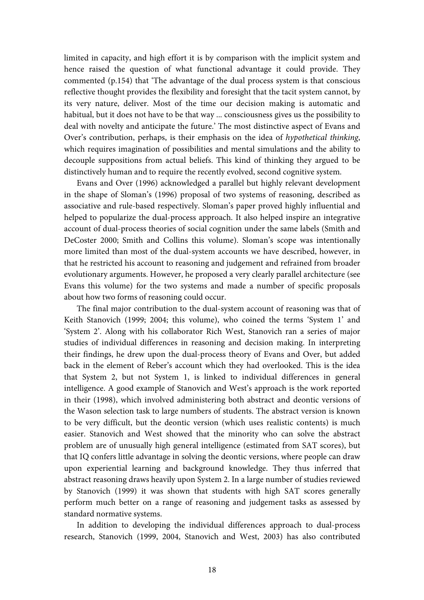limited in capacity, and high effort it is by comparison with the implicit system and hence raised the question of what functional advantage it could provide. They commented (p.154) that 'The advantage of the dual process system is that conscious reflective thought provides the flexibility and foresight that the tacit system cannot, by its very nature, deliver. Most of the time our decision making is automatic and habitual, but it does not have to be that way ... consciousness gives us the possibility to deal with novelty and anticipate the future.' The most distinctive aspect of Evans and Over's contribution, perhaps, is their emphasis on the idea of hypothetical thinking, which requires imagination of possibilities and mental simulations and the ability to decouple suppositions from actual beliefs. This kind of thinking they argued to be distinctively human and to require the recently evolved, second cognitive system.

 Evans and Over (1996) acknowledged a parallel but highly relevant development in the shape of Sloman's (1996) proposal of two systems of reasoning, described as associative and rule-based respectively. Sloman's paper proved highly influential and helped to popularize the dual-process approach. It also helped inspire an integrative account of dual-process theories of social cognition under the same labels (Smith and DeCoster 2000; Smith and Collins this volume). Sloman's scope was intentionally more limited than most of the dual-system accounts we have described, however, in that he restricted his account to reasoning and judgement and refrained from broader evolutionary arguments. However, he proposed a very clearly parallel architecture (see Evans this volume) for the two systems and made a number of specific proposals about how two forms of reasoning could occur.

 The final major contribution to the dual-system account of reasoning was that of Keith Stanovich (1999; 2004; this volume), who coined the terms 'System 1' and 'System 2'. Along with his collaborator Rich West, Stanovich ran a series of major studies of individual differences in reasoning and decision making. In interpreting their findings, he drew upon the dual-process theory of Evans and Over, but added back in the element of Reber's account which they had overlooked. This is the idea that System 2, but not System 1, is linked to individual differences in general intelligence. A good example of Stanovich and West's approach is the work reported in their (1998), which involved administering both abstract and deontic versions of the Wason selection task to large numbers of students. The abstract version is known to be very difficult, but the deontic version (which uses realistic contents) is much easier. Stanovich and West showed that the minority who can solve the abstract problem are of unusually high general intelligence (estimated from SAT scores), but that IQ confers little advantage in solving the deontic versions, where people can draw upon experiential learning and background knowledge. They thus inferred that abstract reasoning draws heavily upon System 2. In a large number of studies reviewed by Stanovich (1999) it was shown that students with high SAT scores generally perform much better on a range of reasoning and judgement tasks as assessed by standard normative systems.

 In addition to developing the individual differences approach to dual-process research, Stanovich (1999, 2004, Stanovich and West, 2003) has also contributed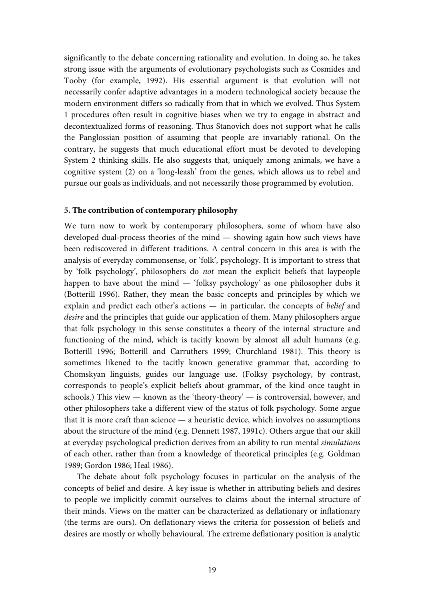significantly to the debate concerning rationality and evolution. In doing so, he takes strong issue with the arguments of evolutionary psychologists such as Cosmides and Tooby (for example, 1992). His essential argument is that evolution will not necessarily confer adaptive advantages in a modern technological society because the modern environment differs so radically from that in which we evolved. Thus System 1 procedures often result in cognitive biases when we try to engage in abstract and decontextualized forms of reasoning. Thus Stanovich does not support what he calls the Panglossian position of assuming that people are invariably rational. On the contrary, he suggests that much educational effort must be devoted to developing System 2 thinking skills. He also suggests that, uniquely among animals, we have a cognitive system (2) on a 'long-leash' from the genes, which allows us to rebel and pursue our goals as individuals, and not necessarily those programmed by evolution.

### **5. The contribution of contemporary philosophy**

We turn now to work by contemporary philosophers, some of whom have also developed dual-process theories of the mind — showing again how such views have been rediscovered in different traditions. A central concern in this area is with the analysis of everyday commonsense, or 'folk', psychology. It is important to stress that by 'folk psychology', philosophers do not mean the explicit beliefs that laypeople happen to have about the mind — 'folksy psychology' as one philosopher dubs it (Botterill 1996). Rather, they mean the basic concepts and principles by which we explain and predict each other's actions — in particular, the concepts of belief and desire and the principles that guide our application of them. Many philosophers argue that folk psychology in this sense constitutes a theory of the internal structure and functioning of the mind, which is tacitly known by almost all adult humans (e.g. Botterill 1996; Botterill and Carruthers 1999; Churchland 1981). This theory is sometimes likened to the tacitly known generative grammar that, according to Chomskyan linguists, guides our language use. (Folksy psychology, by contrast, corresponds to people's explicit beliefs about grammar, of the kind once taught in schools.) This view — known as the 'theory-theory' — is controversial, however, and other philosophers take a different view of the status of folk psychology. Some argue that it is more craft than science — a heuristic device, which involves no assumptions about the structure of the mind (e.g. Dennett 1987, 1991c). Others argue that our skill at everyday psychological prediction derives from an ability to run mental simulations of each other, rather than from a knowledge of theoretical principles (e.g. Goldman 1989; Gordon 1986; Heal 1986).

 The debate about folk psychology focuses in particular on the analysis of the concepts of belief and desire. A key issue is whether in attributing beliefs and desires to people we implicitly commit ourselves to claims about the internal structure of their minds. Views on the matter can be characterized as deflationary or inflationary (the terms are ours). On deflationary views the criteria for possession of beliefs and desires are mostly or wholly behavioural. The extreme deflationary position is analytic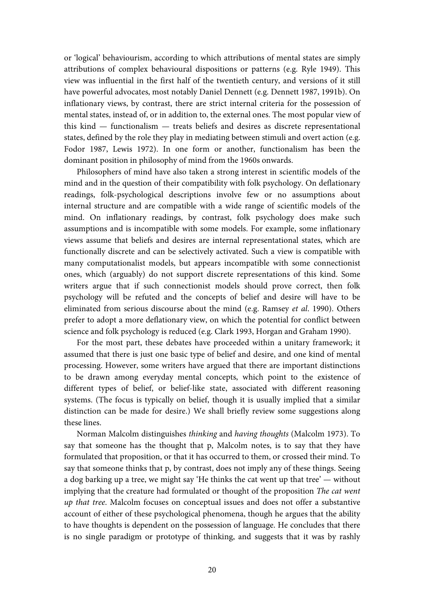or 'logical' behaviourism, according to which attributions of mental states are simply attributions of complex behavioural dispositions or patterns (e.g. Ryle 1949). This view was influential in the first half of the twentieth century, and versions of it still have powerful advocates, most notably Daniel Dennett (e.g. Dennett 1987, 1991b). On inflationary views, by contrast, there are strict internal criteria for the possession of mental states, instead of, or in addition to, the external ones. The most popular view of this kind — functionalism — treats beliefs and desires as discrete representational states, defined by the role they play in mediating between stimuli and overt action (e.g. Fodor 1987, Lewis 1972). In one form or another, functionalism has been the dominant position in philosophy of mind from the 1960s onwards.

 Philosophers of mind have also taken a strong interest in scientific models of the mind and in the question of their compatibility with folk psychology. On deflationary readings, folk-psychological descriptions involve few or no assumptions about internal structure and are compatible with a wide range of scientific models of the mind. On inflationary readings, by contrast, folk psychology does make such assumptions and is incompatible with some models. For example, some inflationary views assume that beliefs and desires are internal representational states, which are functionally discrete and can be selectively activated. Such a view is compatible with many computationalist models, but appears incompatible with some connectionist ones, which (arguably) do not support discrete representations of this kind. Some writers argue that if such connectionist models should prove correct, then folk psychology will be refuted and the concepts of belief and desire will have to be eliminated from serious discourse about the mind (e.g. Ramsey et al. 1990). Others prefer to adopt a more deflationary view, on which the potential for conflict between science and folk psychology is reduced (e.g. Clark 1993, Horgan and Graham 1990).

 For the most part, these debates have proceeded within a unitary framework; it assumed that there is just one basic type of belief and desire, and one kind of mental processing. However, some writers have argued that there are important distinctions to be drawn among everyday mental concepts, which point to the existence of different types of belief, or belief-like state, associated with different reasoning systems. (The focus is typically on belief, though it is usually implied that a similar distinction can be made for desire.) We shall briefly review some suggestions along these lines.

 Norman Malcolm distinguishes thinking and having thoughts (Malcolm 1973). To say that someone has the thought that p, Malcolm notes, is to say that they have formulated that proposition, or that it has occurred to them, or crossed their mind. To say that someone thinks that p, by contrast, does not imply any of these things. Seeing a dog barking up a tree, we might say 'He thinks the cat went up that tree' — without implying that the creature had formulated or thought of the proposition The cat went up that tree. Malcolm focuses on conceptual issues and does not offer a substantive account of either of these psychological phenomena, though he argues that the ability to have thoughts is dependent on the possession of language. He concludes that there is no single paradigm or prototype of thinking, and suggests that it was by rashly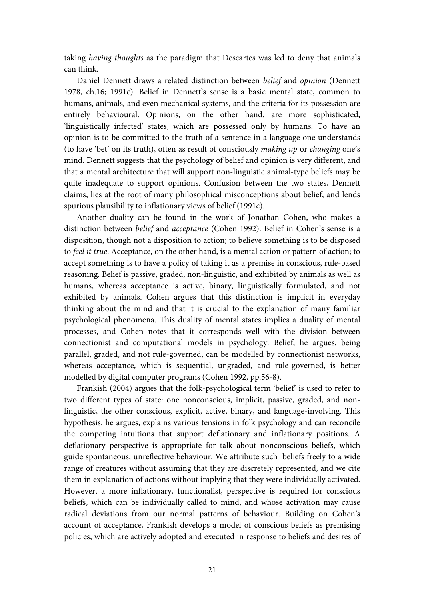taking having thoughts as the paradigm that Descartes was led to deny that animals can think.

 Daniel Dennett draws a related distinction between belief and opinion (Dennett 1978, ch.16; 1991c). Belief in Dennett's sense is a basic mental state, common to humans, animals, and even mechanical systems, and the criteria for its possession are entirely behavioural. Opinions, on the other hand, are more sophisticated, 'linguistically infected' states, which are possessed only by humans. To have an opinion is to be committed to the truth of a sentence in a language one understands (to have 'bet' on its truth), often as result of consciously making up or changing one's mind. Dennett suggests that the psychology of belief and opinion is very different, and that a mental architecture that will support non-linguistic animal-type beliefs may be quite inadequate to support opinions. Confusion between the two states, Dennett claims, lies at the root of many philosophical misconceptions about belief, and lends spurious plausibility to inflationary views of belief (1991c).

 Another duality can be found in the work of Jonathan Cohen, who makes a distinction between belief and acceptance (Cohen 1992). Belief in Cohen's sense is a disposition, though not a disposition to action; to believe something is to be disposed to feel it true. Acceptance, on the other hand, is a mental action or pattern of action; to accept something is to have a policy of taking it as a premise in conscious, rule-based reasoning. Belief is passive, graded, non-linguistic, and exhibited by animals as well as humans, whereas acceptance is active, binary, linguistically formulated, and not exhibited by animals. Cohen argues that this distinction is implicit in everyday thinking about the mind and that it is crucial to the explanation of many familiar psychological phenomena. This duality of mental states implies a duality of mental processes, and Cohen notes that it corresponds well with the division between connectionist and computational models in psychology. Belief, he argues, being parallel, graded, and not rule-governed, can be modelled by connectionist networks, whereas acceptance, which is sequential, ungraded, and rule-governed, is better modelled by digital computer programs (Cohen 1992, pp.56-8).

 Frankish (2004) argues that the folk-psychological term 'belief' is used to refer to two different types of state: one nonconscious, implicit, passive, graded, and nonlinguistic, the other conscious, explicit, active, binary, and language-involving. This hypothesis, he argues, explains various tensions in folk psychology and can reconcile the competing intuitions that support deflationary and inflationary positions. A deflationary perspective is appropriate for talk about nonconscious beliefs, which guide spontaneous, unreflective behaviour. We attribute such beliefs freely to a wide range of creatures without assuming that they are discretely represented, and we cite them in explanation of actions without implying that they were individually activated. However, a more inflationary, functionalist, perspective is required for conscious beliefs, which can be individually called to mind, and whose activation may cause radical deviations from our normal patterns of behaviour. Building on Cohen's account of acceptance, Frankish develops a model of conscious beliefs as premising policies, which are actively adopted and executed in response to beliefs and desires of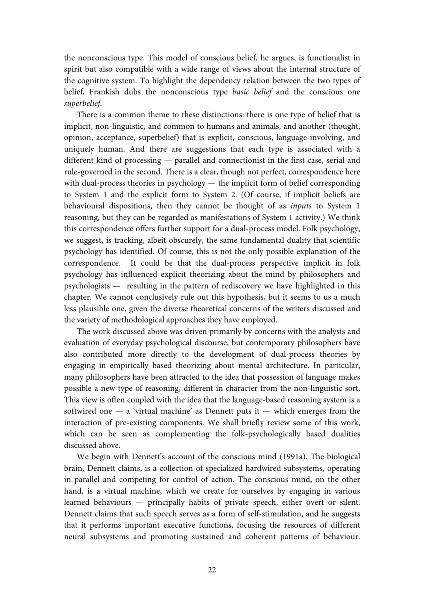the nonconscious type. This model of conscious belief, he argues, is functionalist in spirit but also compatible with a wide range of views about the internal structure of the cognitive system. To highlight the dependency relation between the two types of belief, Frankish dubs the nonconscious type basic belief and the conscious one superbelief.

 There is a common theme to these distinctions: there is one type of belief that is implicit, non-linguistic, and common to humans and animals, and another (thought, opinion, acceptance, superbelief) that is explicit, conscious, language-involving, and uniquely human. And there are suggestions that each type is associated with a different kind of processing — parallel and connectionist in the first case, serial and rule-governed in the second. There is a clear, though not perfect, correspondence here with dual-process theories in psychology — the implicit form of belief corresponding to System 1 and the explicit form to System 2. (Of course, if implicit beliefs are behavioural dispositions, then they cannot be thought of as inputs to System 1 reasoning, but they can be regarded as manifestations of System 1 activity.) We think this correspondence offers further support for a dual-process model. Folk psychology, we suggest, is tracking, albeit obscurely, the same fundamental duality that scientific psychology has identified. Of course, this is not the only possible explanation of the correspondence. It could be that the dual-process perspective implicit in folk psychology has influenced explicit theorizing about the mind by philosophers and psychologists — resulting in the pattern of rediscovery we have highlighted in this chapter. We cannot conclusively rule out this hypothesis, but it seems to us a much less plausible one, given the diverse theoretical concerns of the writers discussed and the variety of methodological approaches they have employed.

 The work discussed above was driven primarily by concerns with the analysis and evaluation of everyday psychological discourse, but contemporary philosophers have also contributed more directly to the development of dual-process theories by engaging in empirically based theorizing about mental architecture. In particular, many philosophers have been attracted to the idea that possession of language makes possible a new type of reasoning, different in character from the non-linguistic sort. This view is often coupled with the idea that the language-based reasoning system is a softwired one  $-$  a 'virtual machine' as Dennett puts it  $-$  which emerges from the interaction of pre-existing components. We shall briefly review some of this work, which can be seen as complementing the folk-psychologically based dualities discussed above.

 We begin with Dennett's account of the conscious mind (1991a). The biological brain, Dennett claims, is a collection of specialized hardwired subsystems, operating in parallel and competing for control of action. The conscious mind, on the other hand, is a virtual machine, which we create for ourselves by engaging in various learned behaviours — principally habits of private speech, either overt or silent. Dennett claims that such speech serves as a form of self-stimulation, and he suggests that it performs important executive functions, focusing the resources of different neural subsystems and promoting sustained and coherent patterns of behaviour.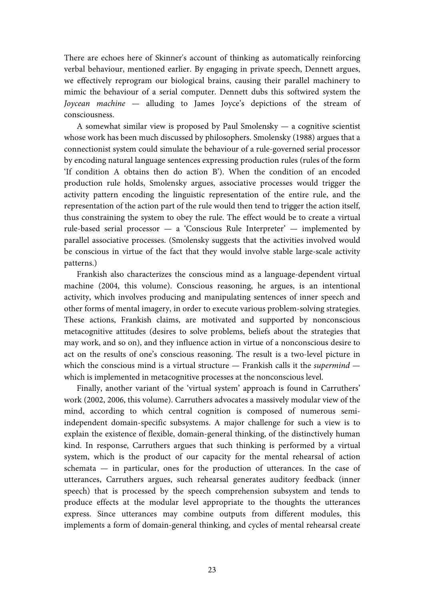There are echoes here of Skinner's account of thinking as automatically reinforcing verbal behaviour, mentioned earlier. By engaging in private speech, Dennett argues, we effectively reprogram our biological brains, causing their parallel machinery to mimic the behaviour of a serial computer. Dennett dubs this softwired system the Joycean machine — alluding to James Joyce's depictions of the stream of consciousness.

 A somewhat similar view is proposed by Paul Smolensky — a cognitive scientist whose work has been much discussed by philosophers. Smolensky (1988) argues that a connectionist system could simulate the behaviour of a rule-governed serial processor by encoding natural language sentences expressing production rules (rules of the form 'If condition A obtains then do action B'). When the condition of an encoded production rule holds, Smolensky argues, associative processes would trigger the activity pattern encoding the linguistic representation of the entire rule, and the representation of the action part of the rule would then tend to trigger the action itself, thus constraining the system to obey the rule. The effect would be to create a virtual rule-based serial processor — a 'Conscious Rule Interpreter' — implemented by parallel associative processes. (Smolensky suggests that the activities involved would be conscious in virtue of the fact that they would involve stable large-scale activity patterns.)

 Frankish also characterizes the conscious mind as a language-dependent virtual machine (2004, this volume). Conscious reasoning, he argues, is an intentional activity, which involves producing and manipulating sentences of inner speech and other forms of mental imagery, in order to execute various problem-solving strategies. These actions, Frankish claims, are motivated and supported by nonconscious metacognitive attitudes (desires to solve problems, beliefs about the strategies that may work, and so on), and they influence action in virtue of a nonconscious desire to act on the results of one's conscious reasoning. The result is a two-level picture in which the conscious mind is a virtual structure  $-$  Frankish calls it the *supermind*  $$ which is implemented in metacognitive processes at the nonconscious level.

 Finally, another variant of the 'virtual system' approach is found in Carruthers' work (2002, 2006, this volume). Carruthers advocates a massively modular view of the mind, according to which central cognition is composed of numerous semiindependent domain-specific subsystems. A major challenge for such a view is to explain the existence of flexible, domain-general thinking, of the distinctively human kind. In response, Carruthers argues that such thinking is performed by a virtual system, which is the product of our capacity for the mental rehearsal of action schemata — in particular, ones for the production of utterances. In the case of utterances, Carruthers argues, such rehearsal generates auditory feedback (inner speech) that is processed by the speech comprehension subsystem and tends to produce effects at the modular level appropriate to the thoughts the utterances express. Since utterances may combine outputs from different modules, this implements a form of domain-general thinking, and cycles of mental rehearsal create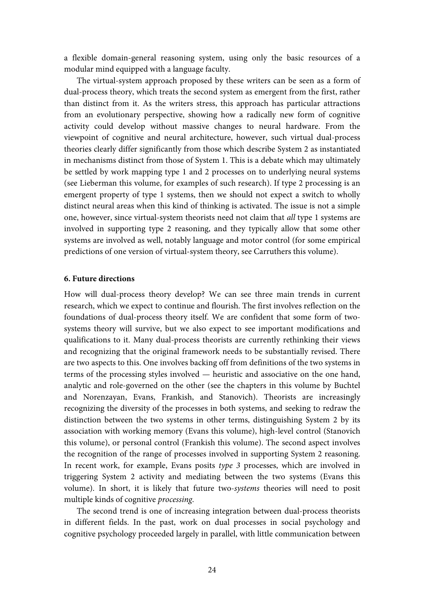a flexible domain-general reasoning system, using only the basic resources of a modular mind equipped with a language faculty.

 The virtual-system approach proposed by these writers can be seen as a form of dual-process theory, which treats the second system as emergent from the first, rather than distinct from it. As the writers stress, this approach has particular attractions from an evolutionary perspective, showing how a radically new form of cognitive activity could develop without massive changes to neural hardware. From the viewpoint of cognitive and neural architecture, however, such virtual dual-process theories clearly differ significantly from those which describe System 2 as instantiated in mechanisms distinct from those of System 1. This is a debate which may ultimately be settled by work mapping type 1 and 2 processes on to underlying neural systems (see Lieberman this volume, for examples of such research). If type 2 processing is an emergent property of type 1 systems, then we should not expect a switch to wholly distinct neural areas when this kind of thinking is activated. The issue is not a simple one, however, since virtual-system theorists need not claim that all type 1 systems are involved in supporting type 2 reasoning, and they typically allow that some other systems are involved as well, notably language and motor control (for some empirical predictions of one version of virtual-system theory, see Carruthers this volume).

### **6. Future directions**

How will dual-process theory develop? We can see three main trends in current research, which we expect to continue and flourish. The first involves reflection on the foundations of dual-process theory itself. We are confident that some form of twosystems theory will survive, but we also expect to see important modifications and qualifications to it. Many dual-process theorists are currently rethinking their views and recognizing that the original framework needs to be substantially revised. There are two aspects to this. One involves backing off from definitions of the two systems in terms of the processing styles involved — heuristic and associative on the one hand, analytic and role-governed on the other (see the chapters in this volume by Buchtel and Norenzayan, Evans, Frankish, and Stanovich). Theorists are increasingly recognizing the diversity of the processes in both systems, and seeking to redraw the distinction between the two systems in other terms, distinguishing System 2 by its association with working memory (Evans this volume), high-level control (Stanovich this volume), or personal control (Frankish this volume). The second aspect involves the recognition of the range of processes involved in supporting System 2 reasoning. In recent work, for example, Evans posits type 3 processes, which are involved in triggering System 2 activity and mediating between the two systems (Evans this volume). In short, it is likely that future two-systems theories will need to posit multiple kinds of cognitive processing.

 The second trend is one of increasing integration between dual-process theorists in different fields. In the past, work on dual processes in social psychology and cognitive psychology proceeded largely in parallel, with little communication between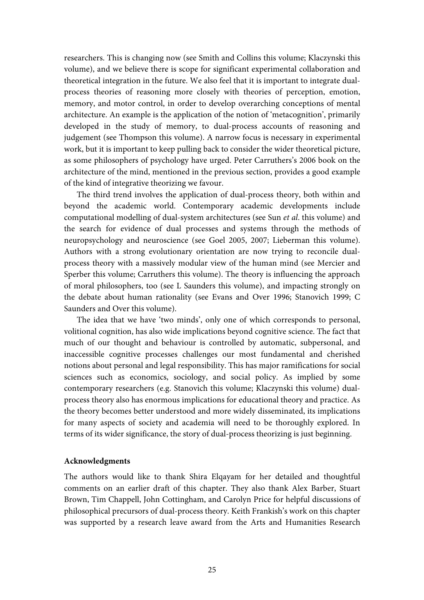researchers. This is changing now (see Smith and Collins this volume; Klaczynski this volume), and we believe there is scope for significant experimental collaboration and theoretical integration in the future. We also feel that it is important to integrate dualprocess theories of reasoning more closely with theories of perception, emotion, memory, and motor control, in order to develop overarching conceptions of mental architecture. An example is the application of the notion of 'metacognition', primarily developed in the study of memory, to dual-process accounts of reasoning and judgement (see Thompson this volume). A narrow focus is necessary in experimental work, but it is important to keep pulling back to consider the wider theoretical picture, as some philosophers of psychology have urged. Peter Carruthers's 2006 book on the architecture of the mind, mentioned in the previous section, provides a good example of the kind of integrative theorizing we favour.

 The third trend involves the application of dual-process theory, both within and beyond the academic world. Contemporary academic developments include computational modelling of dual-system architectures (see Sun et al. this volume) and the search for evidence of dual processes and systems through the methods of neuropsychology and neuroscience (see Goel 2005, 2007; Lieberman this volume). Authors with a strong evolutionary orientation are now trying to reconcile dualprocess theory with a massively modular view of the human mind (see Mercier and Sperber this volume; Carruthers this volume). The theory is influencing the approach of moral philosophers, too (see L Saunders this volume), and impacting strongly on the debate about human rationality (see Evans and Over 1996; Stanovich 1999; C Saunders and Over this volume).

 The idea that we have 'two minds', only one of which corresponds to personal, volitional cognition, has also wide implications beyond cognitive science. The fact that much of our thought and behaviour is controlled by automatic, subpersonal, and inaccessible cognitive processes challenges our most fundamental and cherished notions about personal and legal responsibility. This has major ramifications for social sciences such as economics, sociology, and social policy. As implied by some contemporary researchers (e.g. Stanovich this volume; Klaczynski this volume) dualprocess theory also has enormous implications for educational theory and practice. As the theory becomes better understood and more widely disseminated, its implications for many aspects of society and academia will need to be thoroughly explored. In terms of its wider significance, the story of dual-process theorizing is just beginning.

### **Acknowledgments**

The authors would like to thank Shira Elqayam for her detailed and thoughtful comments on an earlier draft of this chapter. They also thank Alex Barber, Stuart Brown, Tim Chappell, John Cottingham, and Carolyn Price for helpful discussions of philosophical precursors of dual-process theory. Keith Frankish's work on this chapter was supported by a research leave award from the Arts and Humanities Research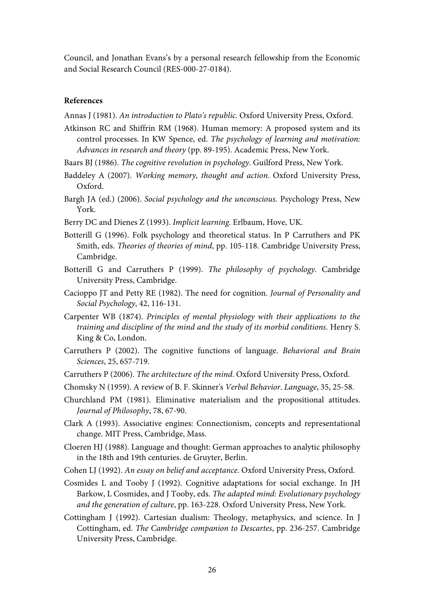Council, and Jonathan Evans's by a personal research fellowship from the Economic and Social Research Council (RES-000-27-0184).

## **References**

Annas J (1981). An introduction to Plato's republic. Oxford University Press, Oxford.

- Atkinson RC and Shiffrin RM (1968). Human memory: A proposed system and its control processes. In KW Spence, ed. The psychology of learning and motivation: Advances in research and theory (pp. 89-195). Academic Press, New York.
- Baars BJ (1986). The cognitive revolution in psychology. Guilford Press, New York.
- Baddeley A (2007). Working memory, thought and action. Oxford University Press, Oxford.
- Bargh JA (ed.) (2006). Social psychology and the unconscious. Psychology Press, New York.
- Berry DC and Dienes Z (1993). Implicit learning. Erlbaum, Hove, UK.
- Botterill G (1996). Folk psychology and theoretical status. In P Carruthers and PK Smith, eds. Theories of theories of mind, pp. 105-118. Cambridge University Press, Cambridge.
- Botterill G and Carruthers P (1999). The philosophy of psychology. Cambridge University Press, Cambridge.
- Cacioppo JT and Petty RE (1982). The need for cognition. Journal of Personality and Social Psychology, 42, 116-131.
- Carpenter WB (1874). Principles of mental physiology with their applications to the training and discipline of the mind and the study of its morbid conditions. Henry S. King & Co, London.
- Carruthers P (2002). The cognitive functions of language. Behavioral and Brain Sciences, 25, 657-719.
- Carruthers P (2006). The architecture of the mind. Oxford University Press, Oxford.
- Chomsky N (1959). A review of B. F. Skinner's Verbal Behavior. Language, 35, 25-58.
- Churchland PM (1981). Eliminative materialism and the propositional attitudes. Journal of Philosophy, 78, 67-90.
- Clark A (1993). Associative engines: Connectionism, concepts and representational change. MIT Press, Cambridge, Mass.
- Cloeren HJ (1988). Language and thought: German approaches to analytic philosophy in the 18th and 19th centuries. de Gruyter, Berlin.
- Cohen LJ (1992). An essay on belief and acceptance. Oxford University Press, Oxford.
- Cosmides L and Tooby J (1992). Cognitive adaptations for social exchange. In JH Barkow, L Cosmides, and J Tooby, eds. The adapted mind: Evolutionary psychology and the generation of culture, pp. 163-228. Oxford University Press, New York.
- Cottingham J (1992). Cartesian dualism: Theology, metaphysics, and science. In J Cottingham, ed. The Cambridge companion to Descartes, pp. 236-257. Cambridge University Press, Cambridge.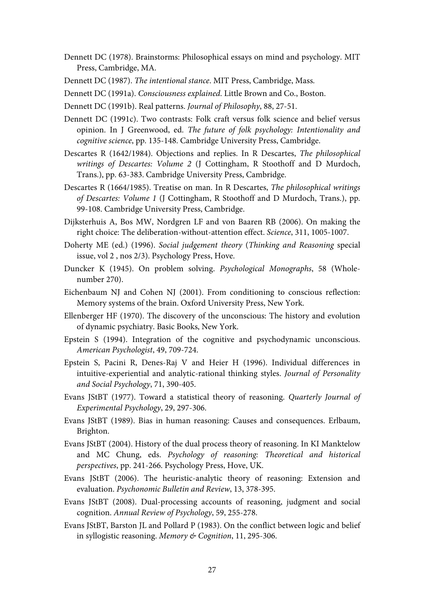- Dennett DC (1978). Brainstorms: Philosophical essays on mind and psychology. MIT Press, Cambridge, MA.
- Dennett DC (1987). The intentional stance. MIT Press, Cambridge, Mass.
- Dennett DC (1991a). Consciousness explained. Little Brown and Co., Boston.
- Dennett DC (1991b). Real patterns. Journal of Philosophy, 88, 27-51.
- Dennett DC (1991c). Two contrasts: Folk craft versus folk science and belief versus opinion. In J Greenwood, ed. The future of folk psychology: Intentionality and cognitive science, pp. 135-148. Cambridge University Press, Cambridge.
- Descartes R (1642/1984). Objections and replies. In R Descartes, The philosophical writings of Descartes: Volume 2 (J Cottingham, R Stoothoff and D Murdoch, Trans.), pp. 63-383. Cambridge University Press, Cambridge.
- Descartes R (1664/1985). Treatise on man. In R Descartes, The philosophical writings of Descartes: Volume 1 (J Cottingham, R Stoothoff and D Murdoch, Trans.), pp. 99-108. Cambridge University Press, Cambridge.
- Dijksterhuis A, Bos MW, Nordgren LF and von Baaren RB (2006). On making the right choice: The deliberation-without-attention effect. Science, 311, 1005-1007.
- Doherty ME (ed.) (1996). Social judgement theory (Thinking and Reasoning special issue, vol 2 , nos 2/3). Psychology Press, Hove.
- Duncker K (1945). On problem solving. Psychological Monographs, 58 (Wholenumber 270).
- Eichenbaum NJ and Cohen NJ (2001). From conditioning to conscious reflection: Memory systems of the brain. Oxford University Press, New York.
- Ellenberger HF (1970). The discovery of the unconscious: The history and evolution of dynamic psychiatry. Basic Books, New York.
- Epstein S (1994). Integration of the cognitive and psychodynamic unconscious. American Psychologist, 49, 709-724.
- Epstein S, Pacini R, Denes-Raj V and Heier H (1996). Individual differences in intuitive-experiential and analytic-rational thinking styles. Journal of Personality and Social Psychology, 71, 390-405.
- Evans JStBT (1977). Toward a statistical theory of reasoning. Quarterly Journal of Experimental Psychology, 29, 297-306.
- Evans JStBT (1989). Bias in human reasoning: Causes and consequences. Erlbaum, Brighton.
- Evans JStBT (2004). History of the dual process theory of reasoning. In KI Manktelow and MC Chung, eds. Psychology of reasoning: Theoretical and historical perspectives, pp. 241-266. Psychology Press, Hove, UK.
- Evans JStBT (2006). The heuristic-analytic theory of reasoning: Extension and evaluation. Psychonomic Bulletin and Review, 13, 378-395.
- Evans JStBT (2008). Dual-processing accounts of reasoning, judgment and social cognition. Annual Review of Psychology, 59, 255-278.
- Evans JStBT, Barston JL and Pollard P (1983). On the conflict between logic and belief in syllogistic reasoning. Memory & Cognition, 11, 295-306.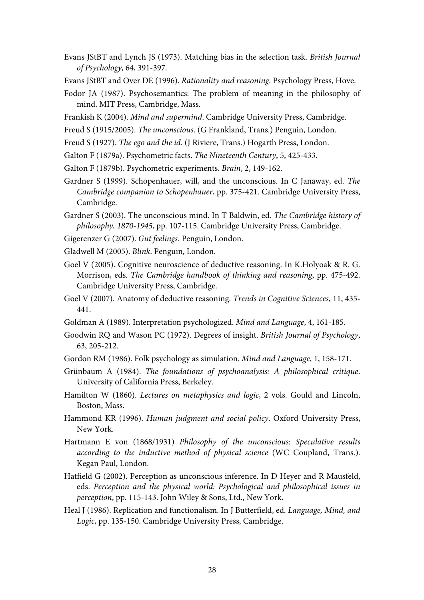- Evans JStBT and Lynch JS (1973). Matching bias in the selection task. British Journal of Psychology, 64, 391-397.
- Evans JStBT and Over DE (1996). Rationality and reasoning. Psychology Press, Hove.
- Fodor JA (1987). Psychosemantics: The problem of meaning in the philosophy of mind. MIT Press, Cambridge, Mass.
- Frankish K (2004). Mind and supermind. Cambridge University Press, Cambridge.
- Freud S (1915/2005). The unconscious. (G Frankland, Trans.) Penguin, London.
- Freud S (1927). The ego and the id. (J Riviere, Trans.) Hogarth Press, London.
- Galton F (1879a). Psychometric facts. The Nineteenth Century, 5, 425-433.
- Galton F (1879b). Psychometric experiments. Brain, 2, 149-162.
- Gardner S (1999). Schopenhauer, will, and the unconscious. In C Janaway, ed. The Cambridge companion to Schopenhauer, pp. 375-421. Cambridge University Press, Cambridge.
- Gardner S (2003). The unconscious mind. In T Baldwin, ed. The Cambridge history of philosophy, 1870-1945, pp. 107-115. Cambridge University Press, Cambridge.
- Gigerenzer G (2007). Gut feelings. Penguin, London.
- Gladwell M (2005). Blink. Penguin, London.
- Goel V (2005). Cognitive neuroscience of deductive reasoning. In K.Holyoak & R. G. Morrison, eds. The Cambridge handbook of thinking and reasoning, pp. 475-492. Cambridge University Press, Cambridge.
- Goel V (2007). Anatomy of deductive reasoning. Trends in Cognitive Sciences, 11, 435- 441.
- Goldman A (1989). Interpretation psychologized. Mind and Language, 4, 161-185.
- Goodwin RQ and Wason PC (1972). Degrees of insight. British Journal of Psychology, 63, 205-212.
- Gordon RM (1986). Folk psychology as simulation. Mind and Language, 1, 158-171.
- Grünbaum A (1984). The foundations of psychoanalysis: A philosophical critique. University of California Press, Berkeley.
- Hamilton W (1860). Lectures on metaphysics and logic, 2 vols. Gould and Lincoln, Boston, Mass.
- Hammond KR (1996). Human judgment and social policy. Oxford University Press, New York.
- Hartmann E von (1868/1931) Philosophy of the unconscious: Speculative results according to the inductive method of physical science (WC Coupland, Trans.). Kegan Paul, London.
- Hatfield G (2002). Perception as unconscious inference. In D Heyer and R Mausfeld, eds. Perception and the physical world: Psychological and philosophical issues in perception, pp. 115-143. John Wiley & Sons, Ltd., New York.
- Heal J (1986). Replication and functionalism. In J Butterfield, ed. Language, Mind, and Logic, pp. 135-150. Cambridge University Press, Cambridge.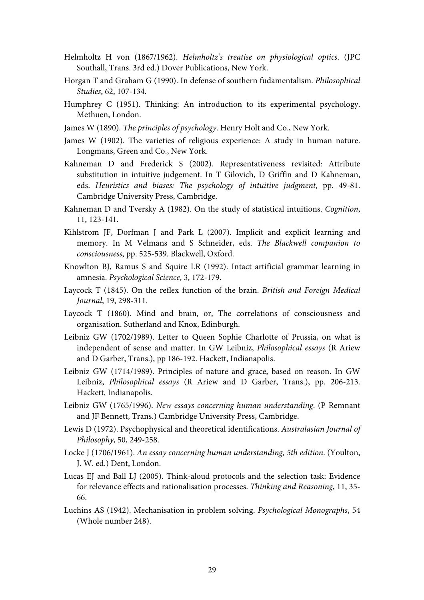- Helmholtz H von (1867/1962). Helmholtz's treatise on physiological optics. (JPC Southall, Trans. 3rd ed.) Dover Publications, New York.
- Horgan T and Graham G (1990). In defense of southern fudamentalism. Philosophical Studies, 62, 107-134.
- Humphrey C (1951). Thinking: An introduction to its experimental psychology. Methuen, London.
- James W (1890). The principles of psychology. Henry Holt and Co., New York.
- James W (1902). The varieties of religious experience: A study in human nature. Longmans, Green and Co., New York.
- Kahneman D and Frederick S (2002). Representativeness revisited: Attribute substitution in intuitive judgement. In T Gilovich, D Griffin and D Kahneman, eds. Heuristics and biases: The psychology of intuitive judgment, pp. 49-81. Cambridge University Press, Cambridge.
- Kahneman D and Tversky A (1982). On the study of statistical intuitions. Cognition, 11, 123-141.
- Kihlstrom JF, Dorfman J and Park L (2007). Implicit and explicit learning and memory. In M Velmans and S Schneider, eds. The Blackwell companion to consciousness, pp. 525-539. Blackwell, Oxford.
- Knowlton BJ, Ramus S and Squire LR (1992). Intact artificial grammar learning in amnesia. Psychological Science, 3, 172-179.
- Laycock T (1845). On the reflex function of the brain. British and Foreign Medical Journal, 19, 298-311.
- Laycock T (1860). Mind and brain, or, The correlations of consciousness and organisation. Sutherland and Knox, Edinburgh.
- Leibniz GW (1702/1989). Letter to Queen Sophie Charlotte of Prussia, on what is independent of sense and matter. In GW Leibniz, Philosophical essays (R Ariew and D Garber, Trans.), pp 186-192. Hackett, Indianapolis.
- Leibniz GW (1714/1989). Principles of nature and grace, based on reason. In GW Leibniz, Philosophical essays (R Ariew and D Garber, Trans.), pp. 206-213. Hackett, Indianapolis.
- Leibniz GW (1765/1996). New essays concerning human understanding. (P Remnant and JF Bennett, Trans.) Cambridge University Press, Cambridge.
- Lewis D (1972). Psychophysical and theoretical identifications. Australasian Journal of Philosophy, 50, 249-258.
- Locke J (1706/1961). An essay concerning human understanding, 5th edition. (Youlton, J. W. ed.) Dent, London.
- Lucas EJ and Ball LJ (2005). Think-aloud protocols and the selection task: Evidence for relevance effects and rationalisation processes. Thinking and Reasoning, 11, 35- 66.
- Luchins AS (1942). Mechanisation in problem solving. Psychological Monographs, 54 (Whole number 248).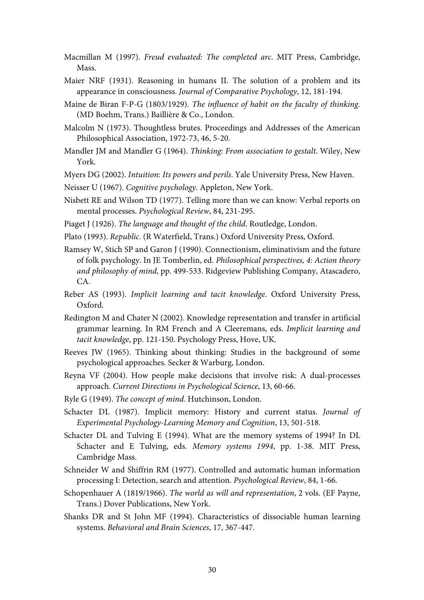- Macmillan M (1997). Freud evaluated: The completed arc. MIT Press, Cambridge, Mass.
- Maier NRF (1931). Reasoning in humans II. The solution of a problem and its appearance in consciousness. Journal of Comparative Psychology, 12, 181-194.
- Maine de Biran F-P-G (1803/1929). The influence of habit on the faculty of thinking. (MD Boehm, Trans.) Baillière & Co., London.
- Malcolm N (1973). Thoughtless brutes. Proceedings and Addresses of the American Philosophical Association, 1972-73, 46, 5-20.
- Mandler JM and Mandler G (1964). Thinking: From association to gestalt. Wiley, New York.
- Myers DG (2002). Intuition: Its powers and perils. Yale University Press, New Haven.
- Neisser U (1967). Cognitive psychology. Appleton, New York.
- Nisbett RE and Wilson TD (1977). Telling more than we can know: Verbal reports on mental processes. Psychological Review, 84, 231-295.
- Piaget J (1926). The language and thought of the child. Routledge, London.
- Plato (1993). Republic. (R Waterfield, Trans.) Oxford University Press, Oxford.
- Ramsey W, Stich SP and Garon J (1990). Connectionism, eliminativism and the future of folk psychology. In JE Tomberlin, ed. Philosophical perspectives, 4: Action theory and philosophy of mind, pp. 499-533. Ridgeview Publishing Company, Atascadero, CA.
- Reber AS (1993). Implicit learning and tacit knowledge. Oxford University Press, Oxford.
- Redington M and Chater N (2002). Knowledge representation and transfer in artificial grammar learning. In RM French and A Cleeremans, eds. Implicit learning and tacit knowledge, pp. 121-150. Psychology Press, Hove, UK.
- Reeves JW (1965). Thinking about thinking: Studies in the background of some psychological approaches. Secker & Warburg, London.
- Reyna VF (2004). How people make decisions that involve risk: A dual-processes approach. Current Directions in Psychological Science, 13, 60-66.
- Ryle G (1949). The concept of mind. Hutchinson, London.
- Schacter DL (1987). Implicit memory: History and current status. Journal of Experimental Psychology-Learning Memory and Cognition, 13, 501-518.
- Schacter DL and Tulving E (1994). What are the memory systems of 1994? In DL Schacter and E Tulving, eds. Memory systems 1994, pp. 1-38. MIT Press, Cambridge Mass.
- Schneider W and Shiffrin RM (1977). Controlled and automatic human information processing I: Detection, search and attention. Psychological Review, 84, 1-66.
- Schopenhauer A (1819/1966). The world as will and representation, 2 vols. (EF Payne, Trans.) Dover Publications, New York.
- Shanks DR and St John MF (1994). Characteristics of dissociable human learning systems. Behavioral and Brain Sciences, 17, 367-447.